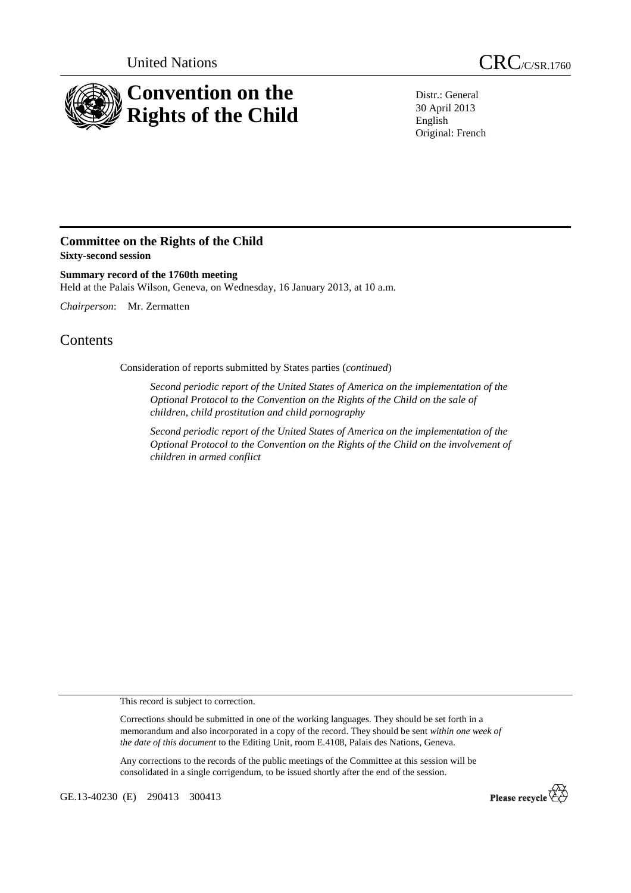

Distr.: General 30 April 2013 English Original: French

## **Committee on the Rights of the Child Sixty-second session**

**Summary record of the 1760th meeting**  Held at the Palais Wilson, Geneva, on Wednesday, 16 January 2013, at 10 a.m.

*Chairperson*: Mr. Zermatten

## **Contents**

Consideration of reports submitted by States parties (*continued*)

*Second periodic report of the United States of America on the implementation of the Optional Protocol to the Convention on the Rights of the Child on the sale of children, child prostitution and child pornography* 

*Second periodic report of the United States of America on the implementation of the Optional Protocol to the Convention on the Rights of the Child on the involvement of children in armed conflict* 

This record is subject to correction.

Corrections should be submitted in one of the working languages. They should be set forth in a memorandum and also incorporated in a copy of the record. They should be sent *within one week of the date of this document* to the Editing Unit, room E.4108, Palais des Nations, Geneva.

Any corrections to the records of the public meetings of the Committee at this session will be consolidated in a single corrigendum, to be issued shortly after the end of the session.

GE.13-40230 (E) 290413 300413

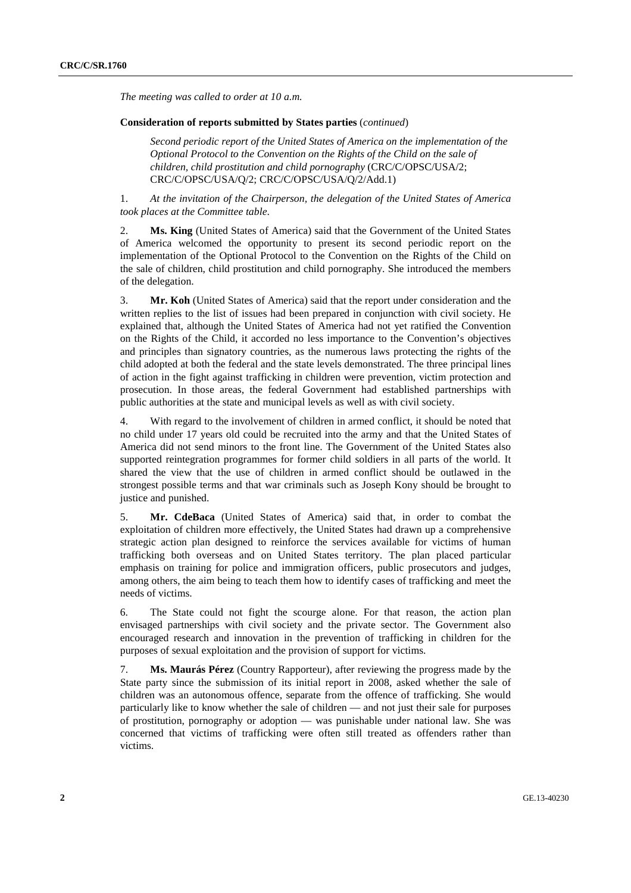*The meeting was called to order at 10 a.m.* 

## **Consideration of reports submitted by States parties** (*continued*)

*Second periodic report of the United States of America on the implementation of the Optional Protocol to the Convention on the Rights of the Child on the sale of children, child prostitution and child pornography* (CRC/C/OPSC/USA/2; CRC/C/OPSC/USA/Q/2; CRC/C/OPSC/USA/Q/2/Add.1)

1. *At the invitation of the Chairperson, the delegation of the United States of America took places at the Committee table*.

2. **Ms. King** (United States of America) said that the Government of the United States of America welcomed the opportunity to present its second periodic report on the implementation of the Optional Protocol to the Convention on the Rights of the Child on the sale of children, child prostitution and child pornography. She introduced the members of the delegation.

3. **Mr. Koh** (United States of America) said that the report under consideration and the written replies to the list of issues had been prepared in conjunction with civil society. He explained that, although the United States of America had not yet ratified the Convention on the Rights of the Child, it accorded no less importance to the Convention's objectives and principles than signatory countries, as the numerous laws protecting the rights of the child adopted at both the federal and the state levels demonstrated. The three principal lines of action in the fight against trafficking in children were prevention, victim protection and prosecution. In those areas, the federal Government had established partnerships with public authorities at the state and municipal levels as well as with civil society.

4. With regard to the involvement of children in armed conflict, it should be noted that no child under 17 years old could be recruited into the army and that the United States of America did not send minors to the front line. The Government of the United States also supported reintegration programmes for former child soldiers in all parts of the world. It shared the view that the use of children in armed conflict should be outlawed in the strongest possible terms and that war criminals such as Joseph Kony should be brought to justice and punished.

5. **Mr. CdeBaca** (United States of America) said that, in order to combat the exploitation of children more effectively, the United States had drawn up a comprehensive strategic action plan designed to reinforce the services available for victims of human trafficking both overseas and on United States territory. The plan placed particular emphasis on training for police and immigration officers, public prosecutors and judges, among others, the aim being to teach them how to identify cases of trafficking and meet the needs of victims.

6. The State could not fight the scourge alone. For that reason, the action plan envisaged partnerships with civil society and the private sector. The Government also encouraged research and innovation in the prevention of trafficking in children for the purposes of sexual exploitation and the provision of support for victims.

7. **Ms. Maurás Pérez** (Country Rapporteur), after reviewing the progress made by the State party since the submission of its initial report in 2008, asked whether the sale of children was an autonomous offence, separate from the offence of trafficking. She would particularly like to know whether the sale of children — and not just their sale for purposes of prostitution, pornography or adoption — was punishable under national law. She was concerned that victims of trafficking were often still treated as offenders rather than victims.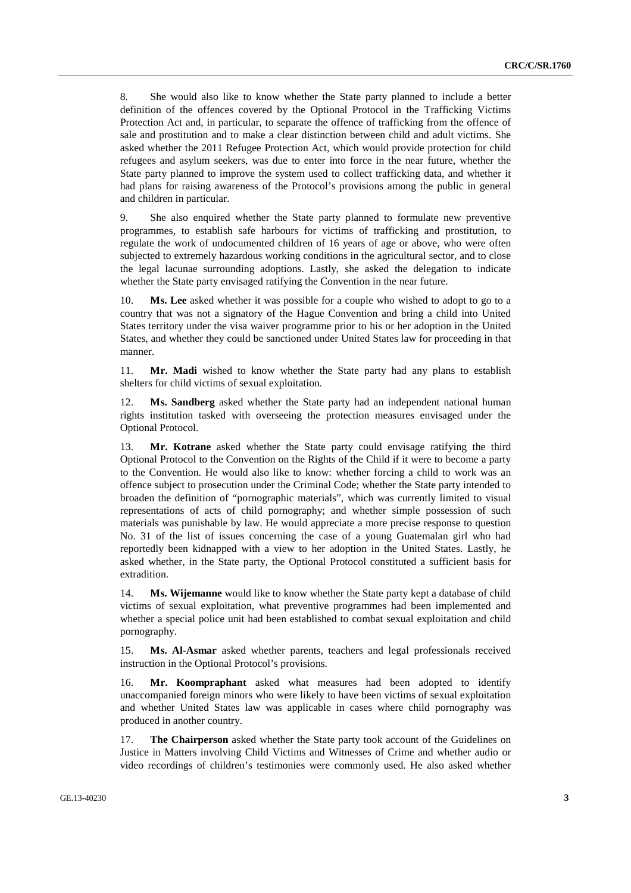8. She would also like to know whether the State party planned to include a better definition of the offences covered by the Optional Protocol in the Trafficking Victims Protection Act and, in particular, to separate the offence of trafficking from the offence of sale and prostitution and to make a clear distinction between child and adult victims. She asked whether the 2011 Refugee Protection Act, which would provide protection for child refugees and asylum seekers, was due to enter into force in the near future, whether the State party planned to improve the system used to collect trafficking data, and whether it had plans for raising awareness of the Protocol's provisions among the public in general and children in particular.

9. She also enquired whether the State party planned to formulate new preventive programmes, to establish safe harbours for victims of trafficking and prostitution, to regulate the work of undocumented children of 16 years of age or above, who were often subjected to extremely hazardous working conditions in the agricultural sector, and to close the legal lacunae surrounding adoptions. Lastly, she asked the delegation to indicate whether the State party envisaged ratifying the Convention in the near future.

10. **Ms. Lee** asked whether it was possible for a couple who wished to adopt to go to a country that was not a signatory of the Hague Convention and bring a child into United States territory under the visa waiver programme prior to his or her adoption in the United States, and whether they could be sanctioned under United States law for proceeding in that manner.

11. **Mr. Madi** wished to know whether the State party had any plans to establish shelters for child victims of sexual exploitation.

12. **Ms. Sandberg** asked whether the State party had an independent national human rights institution tasked with overseeing the protection measures envisaged under the Optional Protocol.

13. **Mr. Kotrane** asked whether the State party could envisage ratifying the third Optional Protocol to the Convention on the Rights of the Child if it were to become a party to the Convention. He would also like to know: whether forcing a child to work was an offence subject to prosecution under the Criminal Code; whether the State party intended to broaden the definition of "pornographic materials", which was currently limited to visual representations of acts of child pornography; and whether simple possession of such materials was punishable by law. He would appreciate a more precise response to question No. 31 of the list of issues concerning the case of a young Guatemalan girl who had reportedly been kidnapped with a view to her adoption in the United States. Lastly, he asked whether, in the State party, the Optional Protocol constituted a sufficient basis for extradition.

14. **Ms. Wijemanne** would like to know whether the State party kept a database of child victims of sexual exploitation, what preventive programmes had been implemented and whether a special police unit had been established to combat sexual exploitation and child pornography.

15. **Ms. Al-Asmar** asked whether parents, teachers and legal professionals received instruction in the Optional Protocol's provisions.

16. **Mr. Koompraphant** asked what measures had been adopted to identify unaccompanied foreign minors who were likely to have been victims of sexual exploitation and whether United States law was applicable in cases where child pornography was produced in another country.

17. **The Chairperson** asked whether the State party took account of the Guidelines on Justice in Matters involving Child Victims and Witnesses of Crime and whether audio or video recordings of children's testimonies were commonly used. He also asked whether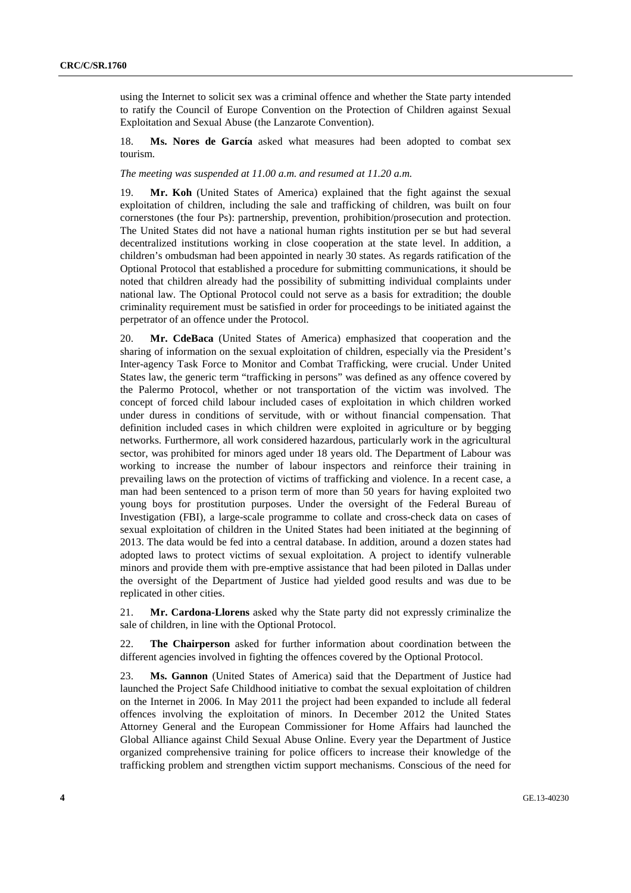using the Internet to solicit sex was a criminal offence and whether the State party intended to ratify the Council of Europe Convention on the Protection of Children against Sexual Exploitation and Sexual Abuse (the Lanzarote Convention).

18. **Ms. Nores de García** asked what measures had been adopted to combat sex tourism.

*The meeting was suspended at 11.00 a.m. and resumed at 11.20 a.m.* 

19. **Mr. Koh** (United States of America) explained that the fight against the sexual exploitation of children, including the sale and trafficking of children, was built on four cornerstones (the four Ps): partnership, prevention, prohibition/prosecution and protection. The United States did not have a national human rights institution per se but had several decentralized institutions working in close cooperation at the state level. In addition, a children's ombudsman had been appointed in nearly 30 states. As regards ratification of the Optional Protocol that established a procedure for submitting communications, it should be noted that children already had the possibility of submitting individual complaints under national law. The Optional Protocol could not serve as a basis for extradition; the double criminality requirement must be satisfied in order for proceedings to be initiated against the perpetrator of an offence under the Protocol.

20. **Mr. CdeBaca** (United States of America) emphasized that cooperation and the sharing of information on the sexual exploitation of children, especially via the President's Inter-agency Task Force to Monitor and Combat Trafficking, were crucial. Under United States law, the generic term "trafficking in persons" was defined as any offence covered by the Palermo Protocol, whether or not transportation of the victim was involved. The concept of forced child labour included cases of exploitation in which children worked under duress in conditions of servitude, with or without financial compensation. That definition included cases in which children were exploited in agriculture or by begging networks. Furthermore, all work considered hazardous, particularly work in the agricultural sector, was prohibited for minors aged under 18 years old. The Department of Labour was working to increase the number of labour inspectors and reinforce their training in prevailing laws on the protection of victims of trafficking and violence. In a recent case, a man had been sentenced to a prison term of more than 50 years for having exploited two young boys for prostitution purposes. Under the oversight of the Federal Bureau of Investigation (FBI), a large-scale programme to collate and cross-check data on cases of sexual exploitation of children in the United States had been initiated at the beginning of 2013. The data would be fed into a central database. In addition, around a dozen states had adopted laws to protect victims of sexual exploitation. A project to identify vulnerable minors and provide them with pre-emptive assistance that had been piloted in Dallas under the oversight of the Department of Justice had yielded good results and was due to be replicated in other cities.

21. **Mr. Cardona-Llorens** asked why the State party did not expressly criminalize the sale of children, in line with the Optional Protocol.

22. **The Chairperson** asked for further information about coordination between the different agencies involved in fighting the offences covered by the Optional Protocol.

23. **Ms. Gannon** (United States of America) said that the Department of Justice had launched the Project Safe Childhood initiative to combat the sexual exploitation of children on the Internet in 2006. In May 2011 the project had been expanded to include all federal offences involving the exploitation of minors. In December 2012 the United States Attorney General and the European Commissioner for Home Affairs had launched the Global Alliance against Child Sexual Abuse Online. Every year the Department of Justice organized comprehensive training for police officers to increase their knowledge of the trafficking problem and strengthen victim support mechanisms. Conscious of the need for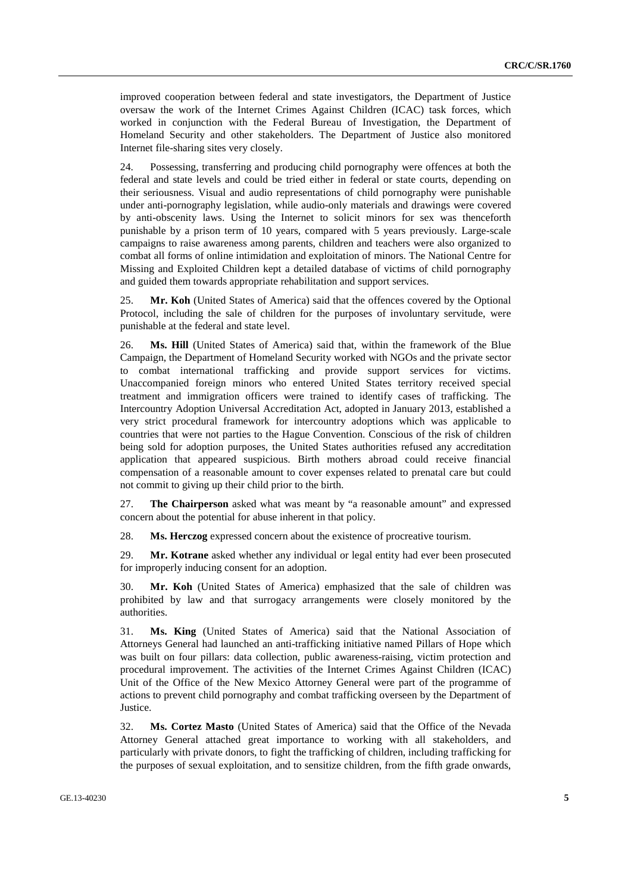improved cooperation between federal and state investigators, the Department of Justice oversaw the work of the Internet Crimes Against Children (ICAC) task forces, which worked in conjunction with the Federal Bureau of Investigation, the Department of Homeland Security and other stakeholders. The Department of Justice also monitored Internet file-sharing sites very closely.

24. Possessing, transferring and producing child pornography were offences at both the federal and state levels and could be tried either in federal or state courts, depending on their seriousness. Visual and audio representations of child pornography were punishable under anti-pornography legislation, while audio-only materials and drawings were covered by anti-obscenity laws. Using the Internet to solicit minors for sex was thenceforth punishable by a prison term of 10 years, compared with 5 years previously. Large-scale campaigns to raise awareness among parents, children and teachers were also organized to combat all forms of online intimidation and exploitation of minors. The National Centre for Missing and Exploited Children kept a detailed database of victims of child pornography and guided them towards appropriate rehabilitation and support services.

25. **Mr. Koh** (United States of America) said that the offences covered by the Optional Protocol, including the sale of children for the purposes of involuntary servitude, were punishable at the federal and state level.

26. **Ms. Hill** (United States of America) said that, within the framework of the Blue Campaign, the Department of Homeland Security worked with NGOs and the private sector to combat international trafficking and provide support services for victims. Unaccompanied foreign minors who entered United States territory received special treatment and immigration officers were trained to identify cases of trafficking. The Intercountry Adoption Universal Accreditation Act, adopted in January 2013, established a very strict procedural framework for intercountry adoptions which was applicable to countries that were not parties to the Hague Convention. Conscious of the risk of children being sold for adoption purposes, the United States authorities refused any accreditation application that appeared suspicious. Birth mothers abroad could receive financial compensation of a reasonable amount to cover expenses related to prenatal care but could not commit to giving up their child prior to the birth.

27. **The Chairperson** asked what was meant by "a reasonable amount" and expressed concern about the potential for abuse inherent in that policy.

28. **Ms. Herczog** expressed concern about the existence of procreative tourism.

29. **Mr. Kotrane** asked whether any individual or legal entity had ever been prosecuted for improperly inducing consent for an adoption.

30. **Mr. Koh** (United States of America) emphasized that the sale of children was prohibited by law and that surrogacy arrangements were closely monitored by the authorities.

31. **Ms. King** (United States of America) said that the National Association of Attorneys General had launched an anti-trafficking initiative named Pillars of Hope which was built on four pillars: data collection, public awareness-raising, victim protection and procedural improvement. The activities of the Internet Crimes Against Children (ICAC) Unit of the Office of the New Mexico Attorney General were part of the programme of actions to prevent child pornography and combat trafficking overseen by the Department of Justice.

32. **Ms. Cortez Masto** (United States of America) said that the Office of the Nevada Attorney General attached great importance to working with all stakeholders, and particularly with private donors, to fight the trafficking of children, including trafficking for the purposes of sexual exploitation, and to sensitize children, from the fifth grade onwards,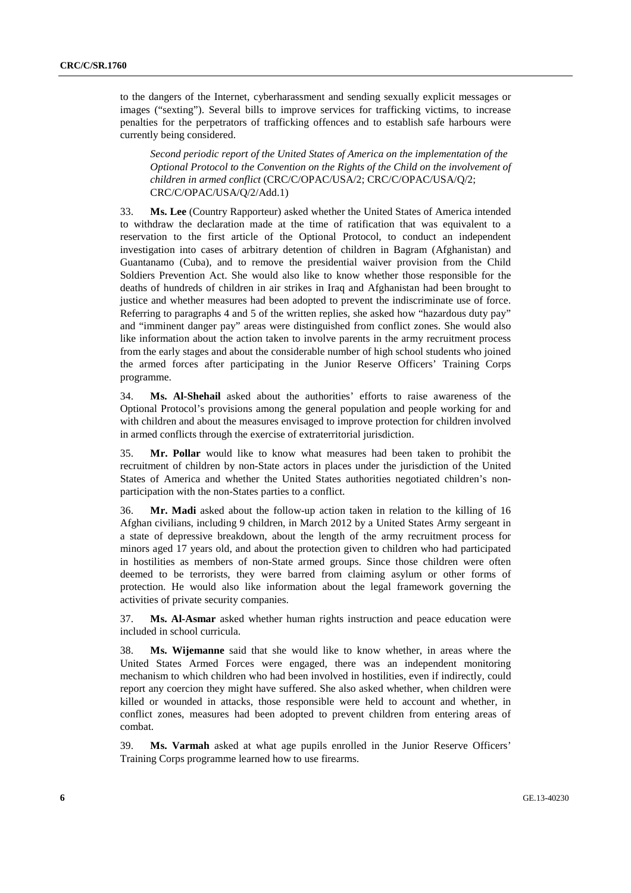to the dangers of the Internet, cyberharassment and sending sexually explicit messages or images ("sexting"). Several bills to improve services for trafficking victims, to increase penalties for the perpetrators of trafficking offences and to establish safe harbours were currently being considered.

*Second periodic report of the United States of America on the implementation of the Optional Protocol to the Convention on the Rights of the Child on the involvement of children in armed conflict* (CRC/C/OPAC/USA/2; CRC/C/OPAC/USA/Q/2; CRC/C/OPAC/USA/Q/2/Add.1)

33. **Ms. Lee** (Country Rapporteur) asked whether the United States of America intended to withdraw the declaration made at the time of ratification that was equivalent to a reservation to the first article of the Optional Protocol, to conduct an independent investigation into cases of arbitrary detention of children in Bagram (Afghanistan) and Guantanamo (Cuba), and to remove the presidential waiver provision from the Child Soldiers Prevention Act. She would also like to know whether those responsible for the deaths of hundreds of children in air strikes in Iraq and Afghanistan had been brought to justice and whether measures had been adopted to prevent the indiscriminate use of force. Referring to paragraphs 4 and 5 of the written replies, she asked how "hazardous duty pay" and "imminent danger pay" areas were distinguished from conflict zones. She would also like information about the action taken to involve parents in the army recruitment process from the early stages and about the considerable number of high school students who joined the armed forces after participating in the Junior Reserve Officers' Training Corps programme.

34. **Ms. Al-Shehail** asked about the authorities' efforts to raise awareness of the Optional Protocol's provisions among the general population and people working for and with children and about the measures envisaged to improve protection for children involved in armed conflicts through the exercise of extraterritorial jurisdiction.

35. **Mr. Pollar** would like to know what measures had been taken to prohibit the recruitment of children by non-State actors in places under the jurisdiction of the United States of America and whether the United States authorities negotiated children's nonparticipation with the non-States parties to a conflict.

36. **Mr. Madi** asked about the follow-up action taken in relation to the killing of 16 Afghan civilians, including 9 children, in March 2012 by a United States Army sergeant in a state of depressive breakdown, about the length of the army recruitment process for minors aged 17 years old, and about the protection given to children who had participated in hostilities as members of non-State armed groups. Since those children were often deemed to be terrorists, they were barred from claiming asylum or other forms of protection. He would also like information about the legal framework governing the activities of private security companies.

37. **Ms. Al-Asmar** asked whether human rights instruction and peace education were included in school curricula.

38. **Ms. Wijemanne** said that she would like to know whether, in areas where the United States Armed Forces were engaged, there was an independent monitoring mechanism to which children who had been involved in hostilities, even if indirectly, could report any coercion they might have suffered. She also asked whether, when children were killed or wounded in attacks, those responsible were held to account and whether, in conflict zones, measures had been adopted to prevent children from entering areas of combat.

39. **Ms. Varmah** asked at what age pupils enrolled in the Junior Reserve Officers' Training Corps programme learned how to use firearms.